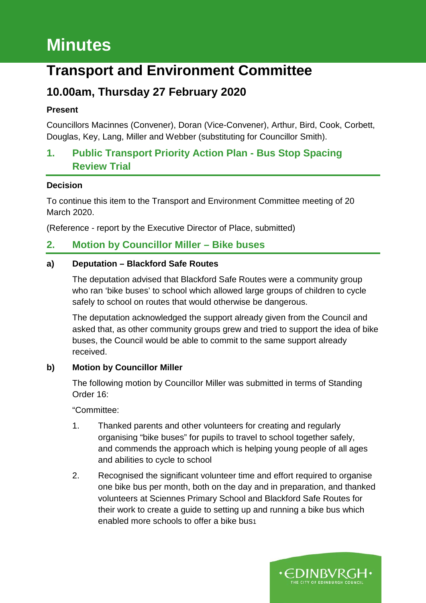# **Minutes**

## **Transport and Environment Committee**

## **10.00am, Thursday 27 February 2020**

#### **Present**

Councillors Macinnes (Convener), Doran (Vice-Convener), Arthur, Bird, Cook, Corbett, Douglas, Key, Lang, Miller and Webber (substituting for Councillor Smith).

## **1. Public Transport Priority Action Plan - Bus Stop Spacing Review Trial**

#### **Decision**

To continue this item to the Transport and Environment Committee meeting of 20 March 2020.

(Reference - report by the Executive Director of Place, submitted)

## **2. Motion by Councillor Miller – Bike buses**

#### **a) Deputation – Blackford Safe Routes**

The deputation advised that Blackford Safe Routes were a community group who ran 'bike buses' to school which allowed large groups of children to cycle safely to school on routes that would otherwise be dangerous.

The deputation acknowledged the support already given from the Council and asked that, as other community groups grew and tried to support the idea of bike buses, the Council would be able to commit to the same support already received.

#### **b) Motion by Councillor Miller**

The following motion by Councillor Miller was submitted in terms of Standing Order 16:

"Committee:

- 1. Thanked parents and other volunteers for creating and regularly organising "bike buses" for pupils to travel to school together safely, and commends the approach which is helping young people of all ages and abilities to cycle to school
- 2. Recognised the significant volunteer time and effort required to organise one bike bus per month, both on the day and in preparation, and thanked volunteers at Sciennes Primary School and Blackford Safe Routes for their work to create a guide to setting up and running a bike bus which enabled more schools to offer a bike bus1

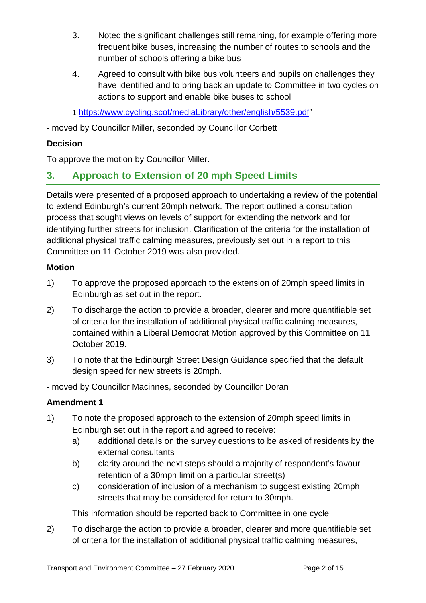- 3. Noted the significant challenges still remaining, for example offering more frequent bike buses, increasing the number of routes to schools and the number of schools offering a bike bus
- 4. Agreed to consult with bike bus volunteers and pupils on challenges they have identified and to bring back an update to Committee in two cycles on actions to support and enable bike buses to school

1 [https://www.cycling.scot/mediaLibrary/other/english/5539.pdf"](https://www.cycling.scot/mediaLibrary/other/english/5539.pdf)

- moved by Councillor Miller, seconded by Councillor Corbett

#### **Decision**

To approve the motion by Councillor Miller.

## **3. Approach to Extension of 20 mph Speed Limits**

Details were presented of a proposed approach to undertaking a review of the potential to extend Edinburgh's current 20mph network. The report outlined a consultation process that sought views on levels of support for extending the network and for identifying further streets for inclusion. Clarification of the criteria for the installation of additional physical traffic calming measures, previously set out in a report to this Committee on 11 October 2019 was also provided.

#### **Motion**

- 1) To approve the proposed approach to the extension of 20mph speed limits in Edinburgh as set out in the report.
- 2) To discharge the action to provide a broader, clearer and more quantifiable set of criteria for the installation of additional physical traffic calming measures, contained within a Liberal Democrat Motion approved by this Committee on 11 October 2019.
- 3) To note that the Edinburgh Street Design Guidance specified that the default design speed for new streets is 20mph.

- moved by Councillor Macinnes, seconded by Councillor Doran

#### **Amendment 1**

- 1) To note the proposed approach to the extension of 20mph speed limits in Edinburgh set out in the report and agreed to receive:
	- a) additional details on the survey questions to be asked of residents by the external consultants
	- b) clarity around the next steps should a majority of respondent's favour retention of a 30mph limit on a particular street(s)
	- c) consideration of inclusion of a mechanism to suggest existing 20mph streets that may be considered for return to 30mph.

This information should be reported back to Committee in one cycle

2) To discharge the action to provide a broader, clearer and more quantifiable set of criteria for the installation of additional physical traffic calming measures,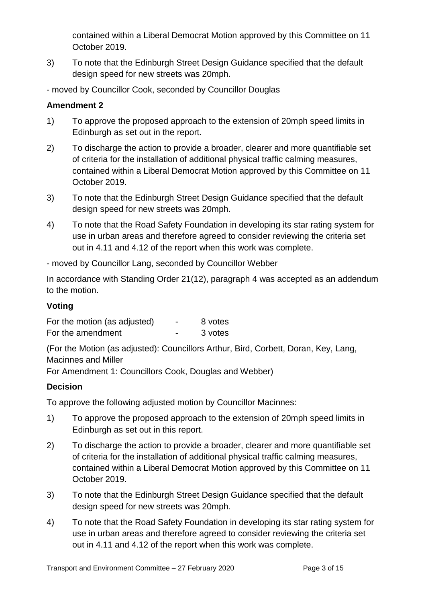contained within a Liberal Democrat Motion approved by this Committee on 11 October 2019.

3) To note that the Edinburgh Street Design Guidance specified that the default design speed for new streets was 20mph.

- moved by Councillor Cook, seconded by Councillor Douglas

#### **Amendment 2**

- 1) To approve the proposed approach to the extension of 20mph speed limits in Edinburgh as set out in the report.
- 2) To discharge the action to provide a broader, clearer and more quantifiable set of criteria for the installation of additional physical traffic calming measures, contained within a Liberal Democrat Motion approved by this Committee on 11 October 2019.
- 3) To note that the Edinburgh Street Design Guidance specified that the default design speed for new streets was 20mph.
- 4) To note that the Road Safety Foundation in developing its star rating system for use in urban areas and therefore agreed to consider reviewing the criteria set out in 4.11 and 4.12 of the report when this work was complete.
- moved by Councillor Lang, seconded by Councillor Webber

In accordance with Standing Order 21(12), paragraph 4 was accepted as an addendum to the motion.

#### **Voting**

| For the motion (as adjusted) | 8 votes |
|------------------------------|---------|
| For the amendment            | 3 votes |

(For the Motion (as adjusted): Councillors Arthur, Bird, Corbett, Doran, Key, Lang, Macinnes and Miller

For Amendment 1: Councillors Cook, Douglas and Webber)

#### **Decision**

To approve the following adjusted motion by Councillor Macinnes:

- 1) To approve the proposed approach to the extension of 20mph speed limits in Edinburgh as set out in this report.
- 2) To discharge the action to provide a broader, clearer and more quantifiable set of criteria for the installation of additional physical traffic calming measures, contained within a Liberal Democrat Motion approved by this Committee on 11 October 2019.
- 3) To note that the Edinburgh Street Design Guidance specified that the default design speed for new streets was 20mph.
- 4) To note that the Road Safety Foundation in developing its star rating system for use in urban areas and therefore agreed to consider reviewing the criteria set out in 4.11 and 4.12 of the report when this work was complete.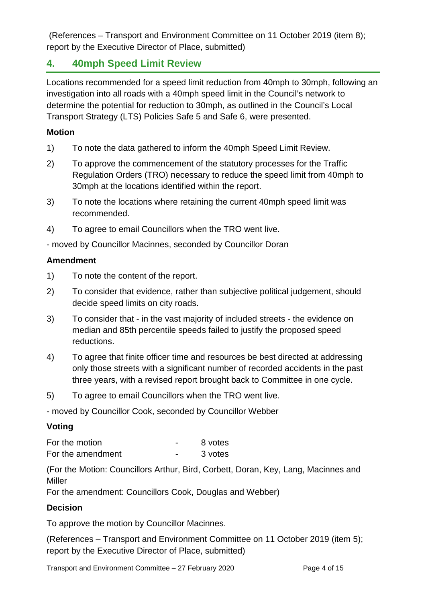(References – Transport and Environment Committee on 11 October 2019 (item 8); report by the Executive Director of Place, submitted)

## **4. 40mph Speed Limit Review**

Locations recommended for a speed limit reduction from 40mph to 30mph, following an investigation into all roads with a 40mph speed limit in the Council's network to determine the potential for reduction to 30mph, as outlined in the Council's Local Transport Strategy (LTS) Policies Safe 5 and Safe 6, were presented.

#### **Motion**

- 1) To note the data gathered to inform the 40mph Speed Limit Review.
- 2) To approve the commencement of the statutory processes for the Traffic Regulation Orders (TRO) necessary to reduce the speed limit from 40mph to 30mph at the locations identified within the report.
- 3) To note the locations where retaining the current 40mph speed limit was recommended.
- 4) To agree to email Councillors when the TRO went live.

- moved by Councillor Macinnes, seconded by Councillor Doran

#### **Amendment**

- 1) To note the content of the report.
- 2) To consider that evidence, rather than subjective political judgement, should decide speed limits on city roads.
- 3) To consider that in the vast majority of included streets the evidence on median and 85th percentile speeds failed to justify the proposed speed reductions.
- 4) To agree that finite officer time and resources be best directed at addressing only those streets with a significant number of recorded accidents in the past three years, with a revised report brought back to Committee in one cycle.
- 5) To agree to email Councillors when the TRO went live.
- moved by Councillor Cook, seconded by Councillor Webber

#### **Voting**

For the motion Theorem 2011 For the motion For the amendment Theorem Contract Contract and Supplying Supplying Supplying Supplying Supplying Supplying Supplying Supplying Supplying Supplying Supplying Supplying Supplying Supplying Supplying Supplying Supplying Supp

(For the Motion: Councillors Arthur, Bird, Corbett, Doran, Key, Lang, Macinnes and Miller

For the amendment: Councillors Cook, Douglas and Webber)

#### **Decision**

To approve the motion by Councillor Macinnes.

(References – Transport and Environment Committee on 11 October 2019 (item 5); report by the Executive Director of Place, submitted)

Transport and Environment Committee – 27 February 2020 Page 4 of 15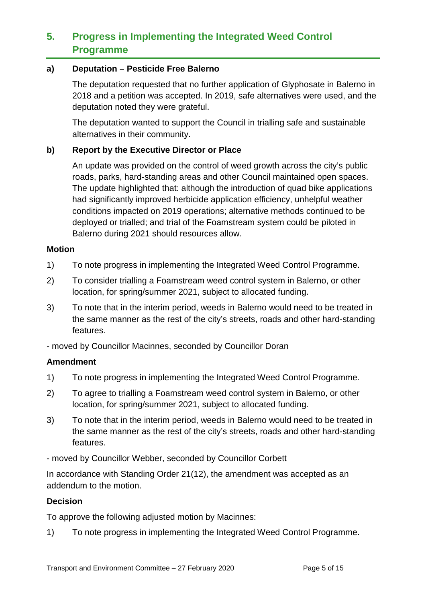## **5. Progress in Implementing the Integrated Weed Control Programme**

#### **a) Deputation – Pesticide Free Balerno**

The deputation requested that no further application of Glyphosate in Balerno in 2018 and a petition was accepted. In 2019, safe alternatives were used, and the deputation noted they were grateful.

The deputation wanted to support the Council in trialling safe and sustainable alternatives in their community.

#### **b) Report by the Executive Director or Place**

An update was provided on the control of weed growth across the city's public roads, parks, hard-standing areas and other Council maintained open spaces. The update highlighted that: although the introduction of quad bike applications had significantly improved herbicide application efficiency, unhelpful weather conditions impacted on 2019 operations; alternative methods continued to be deployed or trialled; and trial of the Foamstream system could be piloted in Balerno during 2021 should resources allow.

#### **Motion**

- 1) To note progress in implementing the Integrated Weed Control Programme.
- 2) To consider trialling a Foamstream weed control system in Balerno, or other location, for spring/summer 2021, subject to allocated funding.
- 3) To note that in the interim period, weeds in Balerno would need to be treated in the same manner as the rest of the city's streets, roads and other hard-standing features.

- moved by Councillor Macinnes, seconded by Councillor Doran

#### **Amendment**

- 1) To note progress in implementing the Integrated Weed Control Programme.
- 2) To agree to trialling a Foamstream weed control system in Balerno, or other location, for spring/summer 2021, subject to allocated funding.
- 3) To note that in the interim period, weeds in Balerno would need to be treated in the same manner as the rest of the city's streets, roads and other hard-standing features.
- moved by Councillor Webber, seconded by Councillor Corbett

In accordance with Standing Order 21(12), the amendment was accepted as an addendum to the motion.

#### **Decision**

To approve the following adjusted motion by Macinnes:

1) To note progress in implementing the Integrated Weed Control Programme.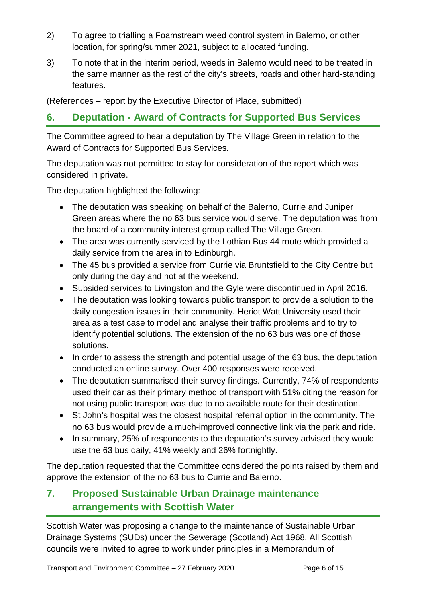- 2) To agree to trialling a Foamstream weed control system in Balerno, or other location, for spring/summer 2021, subject to allocated funding.
- 3) To note that in the interim period, weeds in Balerno would need to be treated in the same manner as the rest of the city's streets, roads and other hard-standing features.

(References – report by the Executive Director of Place, submitted)

## **6. Deputation - Award of Contracts for Supported Bus Services**

The Committee agreed to hear a deputation by The Village Green in relation to the Award of Contracts for Supported Bus Services.

The deputation was not permitted to stay for consideration of the report which was considered in private.

The deputation highlighted the following:

- The deputation was speaking on behalf of the Balerno, Currie and Juniper Green areas where the no 63 bus service would serve. The deputation was from the board of a community interest group called The Village Green.
- The area was currently serviced by the Lothian Bus 44 route which provided a daily service from the area in to Edinburgh.
- The 45 bus provided a service from Currie via Bruntsfield to the City Centre but only during the day and not at the weekend.
- Subsided services to Livingston and the Gyle were discontinued in April 2016.
- The deputation was looking towards public transport to provide a solution to the daily congestion issues in their community. Heriot Watt University used their area as a test case to model and analyse their traffic problems and to try to identify potential solutions. The extension of the no 63 bus was one of those solutions.
- In order to assess the strength and potential usage of the 63 bus, the deputation conducted an online survey. Over 400 responses were received.
- The deputation summarised their survey findings. Currently, 74% of respondents used their car as their primary method of transport with 51% citing the reason for not using public transport was due to no available route for their destination.
- St John's hospital was the closest hospital referral option in the community. The no 63 bus would provide a much-improved connective link via the park and ride.
- In summary, 25% of respondents to the deputation's survey advised they would use the 63 bus daily, 41% weekly and 26% fortnightly.

The deputation requested that the Committee considered the points raised by them and approve the extension of the no 63 bus to Currie and Balerno.

## **7. Proposed Sustainable Urban Drainage maintenance arrangements with Scottish Water**

Scottish Water was proposing a change to the maintenance of Sustainable Urban Drainage Systems (SUDs) under the Sewerage (Scotland) Act 1968. All Scottish councils were invited to agree to work under principles in a Memorandum of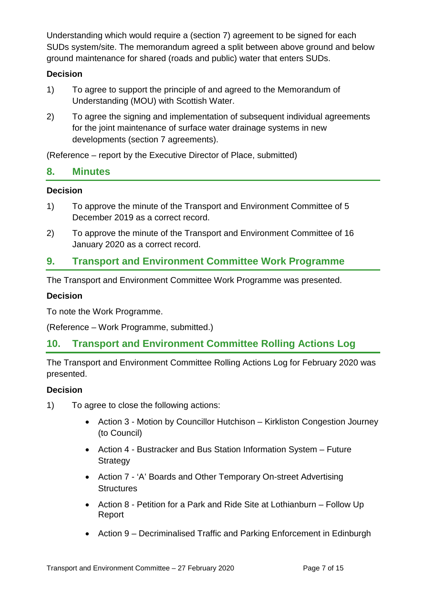Understanding which would require a (section 7) agreement to be signed for each SUDs system/site. The memorandum agreed a split between above ground and below ground maintenance for shared (roads and public) water that enters SUDs.

#### **Decision**

- 1) To agree to support the principle of and agreed to the Memorandum of Understanding (MOU) with Scottish Water.
- 2) To agree the signing and implementation of subsequent individual agreements for the joint maintenance of surface water drainage systems in new developments (section 7 agreements).

(Reference – report by the Executive Director of Place, submitted)

#### **8. Minutes**

#### **Decision**

- 1) To approve the minute of the Transport and Environment Committee of 5 December 2019 as a correct record.
- 2) To approve the minute of the Transport and Environment Committee of 16 January 2020 as a correct record.

## **9. Transport and Environment Committee Work Programme**

The Transport and Environment Committee Work Programme was presented.

#### **Decision**

To note the Work Programme.

(Reference – Work Programme, submitted.)

## **10. Transport and Environment Committee Rolling Actions Log**

The Transport and Environment Committee Rolling Actions Log for February 2020 was presented.

#### **Decision**

- 1) To agree to close the following actions:
	- Action 3 Motion by Councillor Hutchison Kirkliston Congestion Journey (to Council)
	- Action 4 Bustracker and Bus Station Information System Future **Strategy**
	- Action 7 'A' Boards and Other Temporary On-street Advertising **Structures**
	- Action 8 Petition for a Park and Ride Site at Lothianburn Follow Up Report
	- Action 9 Decriminalised Traffic and Parking Enforcement in Edinburgh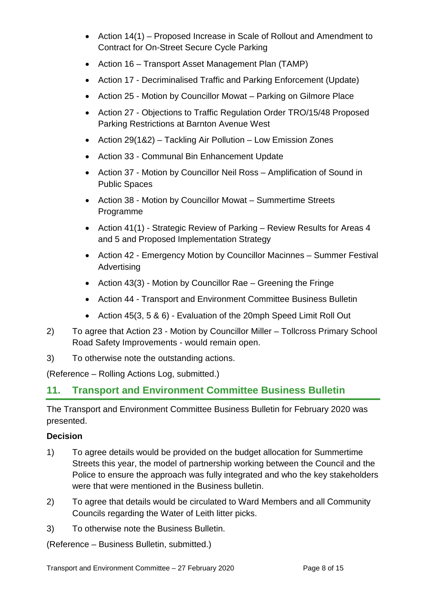- Action 14(1) Proposed Increase in Scale of Rollout and Amendment to Contract for On-Street Secure Cycle Parking
- Action 16 Transport Asset Management Plan (TAMP)
- Action 17 Decriminalised Traffic and Parking Enforcement (Update)
- Action 25 Motion by Councillor Mowat Parking on Gilmore Place
- Action 27 Objections to Traffic Regulation Order TRO/15/48 Proposed Parking Restrictions at Barnton Avenue West
- Action 29(1&2) Tackling Air Pollution Low Emission Zones
- Action 33 Communal Bin Enhancement Update
- Action 37 Motion by Councillor Neil Ross Amplification of Sound in Public Spaces
- Action 38 Motion by Councillor Mowat Summertime Streets Programme
- Action 41(1) Strategic Review of Parking Review Results for Areas 4 and 5 and Proposed Implementation Strategy
- Action 42 Emergency Motion by Councillor Macinnes Summer Festival **Advertising**
- Action 43(3) Motion by Councillor Rae Greening the Fringe
- Action 44 Transport and Environment Committee Business Bulletin
- Action 45(3, 5 & 6) Evaluation of the 20mph Speed Limit Roll Out
- 2) To agree that Action 23 Motion by Councillor Miller Tollcross Primary School Road Safety Improvements - would remain open.
- 3) To otherwise note the outstanding actions.

(Reference – Rolling Actions Log, submitted.)

## **11. Transport and Environment Committee Business Bulletin**

The Transport and Environment Committee Business Bulletin for February 2020 was presented.

#### **Decision**

- 1) To agree details would be provided on the budget allocation for Summertime Streets this year, the model of partnership working between the Council and the Police to ensure the approach was fully integrated and who the key stakeholders were that were mentioned in the Business bulletin.
- 2) To agree that details would be circulated to Ward Members and all Community Councils regarding the Water of Leith litter picks.
- 3) To otherwise note the Business Bulletin.

(Reference – Business Bulletin, submitted.)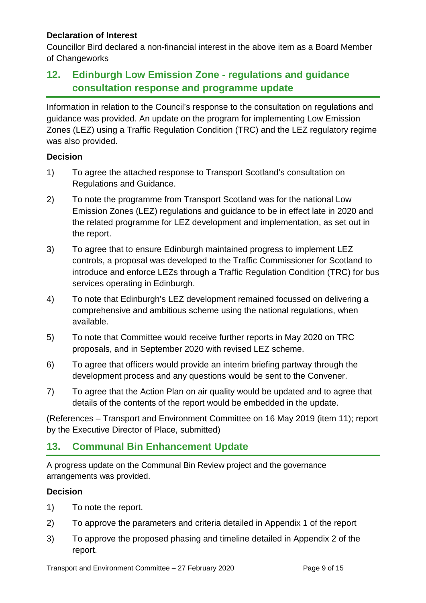#### **Declaration of Interest**

Councillor Bird declared a non-financial interest in the above item as a Board Member of Changeworks

## **12. Edinburgh Low Emission Zone - regulations and guidance consultation response and programme update**

Information in relation to the Council's response to the consultation on regulations and guidance was provided. An update on the program for implementing Low Emission Zones (LEZ) using a Traffic Regulation Condition (TRC) and the LEZ regulatory regime was also provided.

#### **Decision**

- 1) To agree the attached response to Transport Scotland's consultation on Regulations and Guidance.
- 2) To note the programme from Transport Scotland was for the national Low Emission Zones (LEZ) regulations and guidance to be in effect late in 2020 and the related programme for LEZ development and implementation, as set out in the report.
- 3) To agree that to ensure Edinburgh maintained progress to implement LEZ controls, a proposal was developed to the Traffic Commissioner for Scotland to introduce and enforce LEZs through a Traffic Regulation Condition (TRC) for bus services operating in Edinburgh.
- 4) To note that Edinburgh's LEZ development remained focussed on delivering a comprehensive and ambitious scheme using the national regulations, when available.
- 5) To note that Committee would receive further reports in May 2020 on TRC proposals, and in September 2020 with revised LEZ scheme.
- 6) To agree that officers would provide an interim briefing partway through the development process and any questions would be sent to the Convener.
- 7) To agree that the Action Plan on air quality would be updated and to agree that details of the contents of the report would be embedded in the update.

(References – Transport and Environment Committee on 16 May 2019 (item 11); report by the Executive Director of Place, submitted)

## **13. Communal Bin Enhancement Update**

A progress update on the Communal Bin Review project and the governance arrangements was provided.

#### **Decision**

- 1) To note the report.
- 2) To approve the parameters and criteria detailed in Appendix 1 of the report
- 3) To approve the proposed phasing and timeline detailed in Appendix 2 of the report.

Transport and Environment Committee – 27 February 2020 Page 9 of 15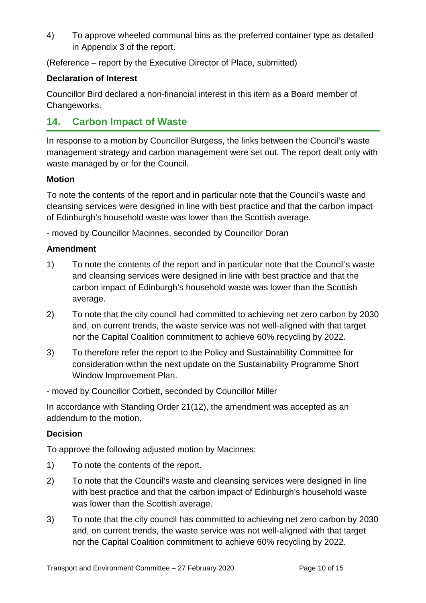4) To approve wheeled communal bins as the preferred container type as detailed in Appendix 3 of the report.

(Reference – report by the Executive Director of Place, submitted)

#### **Declaration of Interest**

Councillor Bird declared a non-financial interest in this item as a Board member of Changeworks.

## **14. Carbon Impact of Waste**

In response to a motion by Councillor Burgess, the links between the Council's waste management strategy and carbon management were set out. The report dealt only with waste managed by or for the Council.

#### **Motion**

To note the contents of the report and in particular note that the Council's waste and cleansing services were designed in line with best practice and that the carbon impact of Edinburgh's household waste was lower than the Scottish average.

- moved by Councillor Macinnes, seconded by Councillor Doran

#### **Amendment**

- 1) To note the contents of the report and in particular note that the Council's waste and cleansing services were designed in line with best practice and that the carbon impact of Edinburgh's household waste was lower than the Scottish average.
- 2) To note that the city council had committed to achieving net zero carbon by 2030 and, on current trends, the waste service was not well-aligned with that target nor the Capital Coalition commitment to achieve 60% recycling by 2022.
- 3) To therefore refer the report to the Policy and Sustainability Committee for consideration within the next update on the Sustainability Programme Short Window Improvement Plan.

- moved by Councillor Corbett, seconded by Councillor Miller

In accordance with Standing Order 21(12), the amendment was accepted as an addendum to the motion.

#### **Decision**

To approve the following adjusted motion by Macinnes:

- 1) To note the contents of the report.
- 2) To note that the Council's waste and cleansing services were designed in line with best practice and that the carbon impact of Edinburgh's household waste was lower than the Scottish average.
- 3) To note that the city council has committed to achieving net zero carbon by 2030 and, on current trends, the waste service was not well-aligned with that target nor the Capital Coalition commitment to achieve 60% recycling by 2022.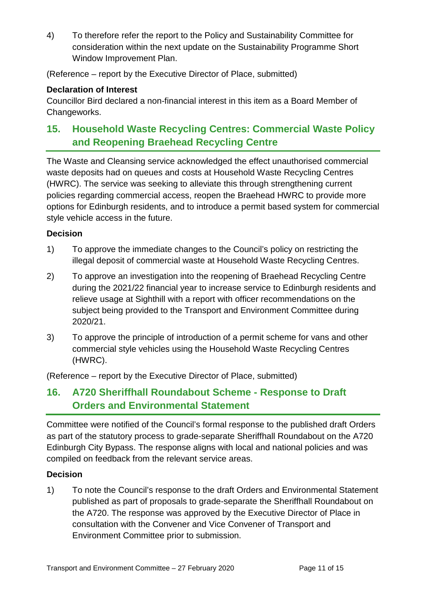4) To therefore refer the report to the Policy and Sustainability Committee for consideration within the next update on the Sustainability Programme Short Window Improvement Plan.

(Reference – report by the Executive Director of Place, submitted)

#### **Declaration of Interest**

Councillor Bird declared a non-financial interest in this item as a Board Member of Changeworks.

## **15. Household Waste Recycling Centres: Commercial Waste Policy and Reopening Braehead Recycling Centre**

The Waste and Cleansing service acknowledged the effect unauthorised commercial waste deposits had on queues and costs at Household Waste Recycling Centres (HWRC). The service was seeking to alleviate this through strengthening current policies regarding commercial access, reopen the Braehead HWRC to provide more options for Edinburgh residents, and to introduce a permit based system for commercial style vehicle access in the future.

#### **Decision**

- 1) To approve the immediate changes to the Council's policy on restricting the illegal deposit of commercial waste at Household Waste Recycling Centres.
- 2) To approve an investigation into the reopening of Braehead Recycling Centre during the 2021/22 financial year to increase service to Edinburgh residents and relieve usage at Sighthill with a report with officer recommendations on the subject being provided to the Transport and Environment Committee during 2020/21.
- 3) To approve the principle of introduction of a permit scheme for vans and other commercial style vehicles using the Household Waste Recycling Centres (HWRC).

(Reference – report by the Executive Director of Place, submitted)

## **16. A720 Sheriffhall Roundabout Scheme - Response to Draft Orders and Environmental Statement**

Committee were notified of the Council's formal response to the published draft Orders as part of the statutory process to grade-separate Sheriffhall Roundabout on the A720 Edinburgh City Bypass. The response aligns with local and national policies and was compiled on feedback from the relevant service areas.

#### **Decision**

1) To note the Council's response to the draft Orders and Environmental Statement published as part of proposals to grade-separate the Sheriffhall Roundabout on the A720. The response was approved by the Executive Director of Place in consultation with the Convener and Vice Convener of Transport and Environment Committee prior to submission.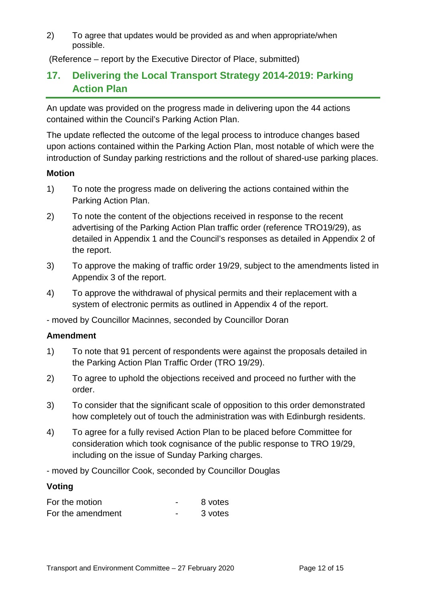2) To agree that updates would be provided as and when appropriate/when possible.

(Reference – report by the Executive Director of Place, submitted)

## **17. Delivering the Local Transport Strategy 2014-2019: Parking Action Plan**

An update was provided on the progress made in delivering upon the 44 actions contained within the Council's Parking Action Plan.

The update reflected the outcome of the legal process to introduce changes based upon actions contained within the Parking Action Plan, most notable of which were the introduction of Sunday parking restrictions and the rollout of shared-use parking places.

#### **Motion**

- 1) To note the progress made on delivering the actions contained within the Parking Action Plan.
- 2) To note the content of the objections received in response to the recent advertising of the Parking Action Plan traffic order (reference TRO19/29), as detailed in Appendix 1 and the Council's responses as detailed in Appendix 2 of the report.
- 3) To approve the making of traffic order 19/29, subject to the amendments listed in Appendix 3 of the report.
- 4) To approve the withdrawal of physical permits and their replacement with a system of electronic permits as outlined in Appendix 4 of the report.

- moved by Councillor Macinnes, seconded by Councillor Doran

#### **Amendment**

- 1) To note that 91 percent of respondents were against the proposals detailed in the Parking Action Plan Traffic Order (TRO 19/29).
- 2) To agree to uphold the objections received and proceed no further with the order.
- 3) To consider that the significant scale of opposition to this order demonstrated how completely out of touch the administration was with Edinburgh residents.
- 4) To agree for a fully revised Action Plan to be placed before Committee for consideration which took cognisance of the public response to TRO 19/29, including on the issue of Sunday Parking charges.

- moved by Councillor Cook, seconded by Councillor Douglas

#### **Voting**

| For the motion    | 8 votes |
|-------------------|---------|
| For the amendment | 3 votes |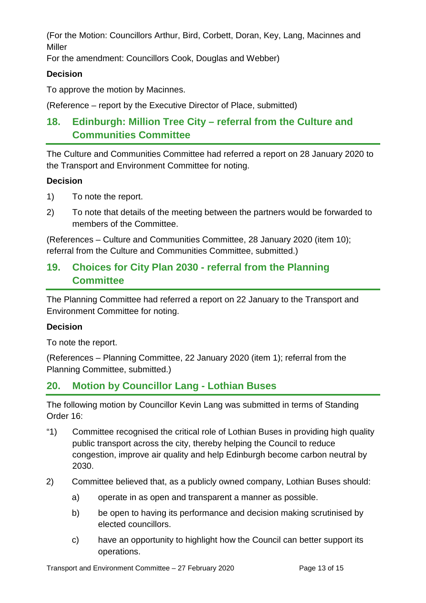(For the Motion: Councillors Arthur, Bird, Corbett, Doran, Key, Lang, Macinnes and Miller

For the amendment: Councillors Cook, Douglas and Webber)

#### **Decision**

To approve the motion by Macinnes.

(Reference – report by the Executive Director of Place, submitted)

## **18. Edinburgh: Million Tree City – referral from the Culture and Communities Committee**

The Culture and Communities Committee had referred a report on 28 January 2020 to the Transport and Environment Committee for noting.

#### **Decision**

- 1) To note the report.
- 2) To note that details of the meeting between the partners would be forwarded to members of the Committee.

(References – Culture and Communities Committee, 28 January 2020 (item 10); referral from the Culture and Communities Committee, submitted.)

## **19. Choices for City Plan 2030 - referral from the Planning Committee**

The Planning Committee had referred a report on 22 January to the Transport and Environment Committee for noting.

#### **Decision**

To note the report.

(References – Planning Committee, 22 January 2020 (item 1); referral from the Planning Committee, submitted.)

## **20. Motion by Councillor Lang - Lothian Buses**

The following motion by Councillor Kevin Lang was submitted in terms of Standing Order 16:

- "1) Committee recognised the critical role of Lothian Buses in providing high quality public transport across the city, thereby helping the Council to reduce congestion, improve air quality and help Edinburgh become carbon neutral by 2030.
- 2) Committee believed that, as a publicly owned company, Lothian Buses should:
	- a) operate in as open and transparent a manner as possible.
	- b) be open to having its performance and decision making scrutinised by elected councillors.
	- c) have an opportunity to highlight how the Council can better support its operations.

Transport and Environment Committee – 27 February 2020 Page 13 of 15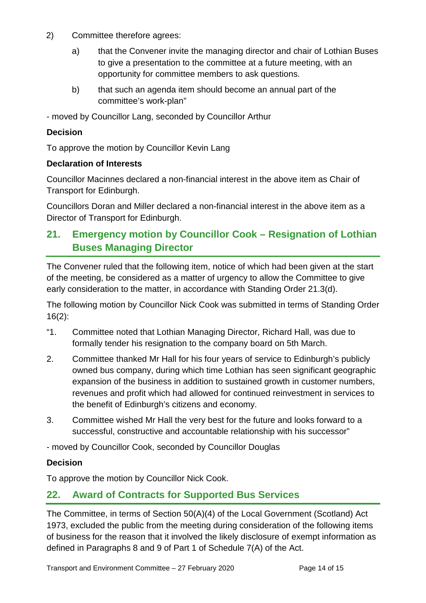- 2) Committee therefore agrees:
	- a) that the Convener invite the managing director and chair of Lothian Buses to give a presentation to the committee at a future meeting, with an opportunity for committee members to ask questions.
	- b) that such an agenda item should become an annual part of the committee's work-plan"
- moved by Councillor Lang, seconded by Councillor Arthur

#### **Decision**

To approve the motion by Councillor Kevin Lang

#### **Declaration of Interests**

Councillor Macinnes declared a non-financial interest in the above item as Chair of Transport for Edinburgh.

Councillors Doran and Miller declared a non-financial interest in the above item as a Director of Transport for Edinburgh.

## **21. Emergency motion by Councillor Cook – Resignation of Lothian Buses Managing Director**

The Convener ruled that the following item, notice of which had been given at the start of the meeting, be considered as a matter of urgency to allow the Committee to give early consideration to the matter, in accordance with Standing Order 21.3(d).

The following motion by Councillor Nick Cook was submitted in terms of Standing Order 16(2):

- "1. Committee noted that Lothian Managing Director, Richard Hall, was due to formally tender his resignation to the company board on 5th March.
- 2. Committee thanked Mr Hall for his four years of service to Edinburgh's publicly owned bus company, during which time Lothian has seen significant geographic expansion of the business in addition to sustained growth in customer numbers, revenues and profit which had allowed for continued reinvestment in services to the benefit of Edinburgh's citizens and economy.
- 3. Committee wished Mr Hall the very best for the future and looks forward to a successful, constructive and accountable relationship with his successor"

- moved by Councillor Cook, seconded by Councillor Douglas

#### **Decision**

To approve the motion by Councillor Nick Cook.

## **22. Award of Contracts for Supported Bus Services**

The Committee, in terms of Section 50(A)(4) of the Local Government (Scotland) Act 1973, excluded the public from the meeting during consideration of the following items of business for the reason that it involved the likely disclosure of exempt information as defined in Paragraphs 8 and 9 of Part 1 of Schedule 7(A) of the Act.